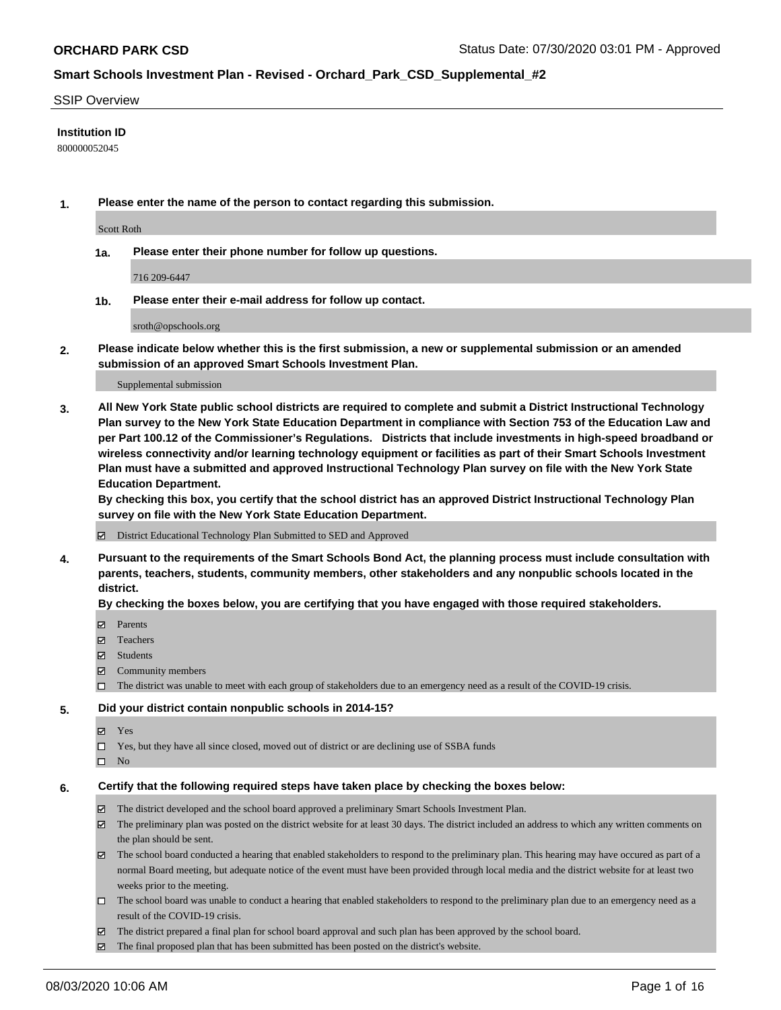#### SSIP Overview

### **Institution ID**

800000052045

**1. Please enter the name of the person to contact regarding this submission.**

Scott Roth

**1a. Please enter their phone number for follow up questions.**

716 209-6447

**1b. Please enter their e-mail address for follow up contact.**

sroth@opschools.org

**2. Please indicate below whether this is the first submission, a new or supplemental submission or an amended submission of an approved Smart Schools Investment Plan.**

#### Supplemental submission

**3. All New York State public school districts are required to complete and submit a District Instructional Technology Plan survey to the New York State Education Department in compliance with Section 753 of the Education Law and per Part 100.12 of the Commissioner's Regulations. Districts that include investments in high-speed broadband or wireless connectivity and/or learning technology equipment or facilities as part of their Smart Schools Investment Plan must have a submitted and approved Instructional Technology Plan survey on file with the New York State Education Department.** 

**By checking this box, you certify that the school district has an approved District Instructional Technology Plan survey on file with the New York State Education Department.**

District Educational Technology Plan Submitted to SED and Approved

**4. Pursuant to the requirements of the Smart Schools Bond Act, the planning process must include consultation with parents, teachers, students, community members, other stakeholders and any nonpublic schools located in the district.** 

#### **By checking the boxes below, you are certifying that you have engaged with those required stakeholders.**

- **Ø** Parents
- Teachers
- Students
- $\boxtimes$  Community members
- The district was unable to meet with each group of stakeholders due to an emergency need as a result of the COVID-19 crisis.

#### **5. Did your district contain nonpublic schools in 2014-15?**

- **冈** Yes
- Yes, but they have all since closed, moved out of district or are declining use of SSBA funds
- $\square$  No

#### **6. Certify that the following required steps have taken place by checking the boxes below:**

- The district developed and the school board approved a preliminary Smart Schools Investment Plan.
- $\boxtimes$  The preliminary plan was posted on the district website for at least 30 days. The district included an address to which any written comments on the plan should be sent.
- The school board conducted a hearing that enabled stakeholders to respond to the preliminary plan. This hearing may have occured as part of a normal Board meeting, but adequate notice of the event must have been provided through local media and the district website for at least two weeks prior to the meeting.
- The school board was unable to conduct a hearing that enabled stakeholders to respond to the preliminary plan due to an emergency need as a result of the COVID-19 crisis.
- The district prepared a final plan for school board approval and such plan has been approved by the school board.
- $\boxtimes$  The final proposed plan that has been submitted has been posted on the district's website.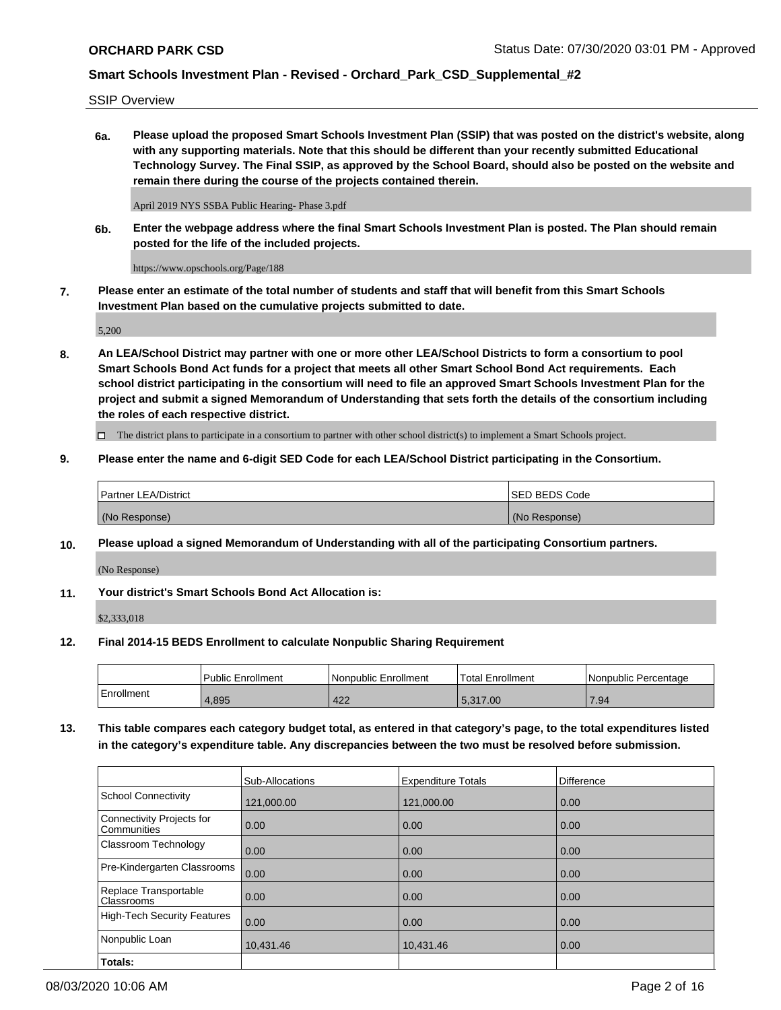SSIP Overview

**6a. Please upload the proposed Smart Schools Investment Plan (SSIP) that was posted on the district's website, along with any supporting materials. Note that this should be different than your recently submitted Educational Technology Survey. The Final SSIP, as approved by the School Board, should also be posted on the website and remain there during the course of the projects contained therein.**

April 2019 NYS SSBA Public Hearing- Phase 3.pdf

**6b. Enter the webpage address where the final Smart Schools Investment Plan is posted. The Plan should remain posted for the life of the included projects.**

https://www.opschools.org/Page/188

**7. Please enter an estimate of the total number of students and staff that will benefit from this Smart Schools Investment Plan based on the cumulative projects submitted to date.**

5,200

**8. An LEA/School District may partner with one or more other LEA/School Districts to form a consortium to pool Smart Schools Bond Act funds for a project that meets all other Smart School Bond Act requirements. Each school district participating in the consortium will need to file an approved Smart Schools Investment Plan for the project and submit a signed Memorandum of Understanding that sets forth the details of the consortium including the roles of each respective district.**

 $\Box$  The district plans to participate in a consortium to partner with other school district(s) to implement a Smart Schools project.

### **9. Please enter the name and 6-digit SED Code for each LEA/School District participating in the Consortium.**

| Partner LEA/District | ISED BEDS Code |
|----------------------|----------------|
| (No Response)        | (No Response)  |

### **10. Please upload a signed Memorandum of Understanding with all of the participating Consortium partners.**

(No Response)

**11. Your district's Smart Schools Bond Act Allocation is:**

\$2,333,018

### **12. Final 2014-15 BEDS Enrollment to calculate Nonpublic Sharing Requirement**

|            | Public Enrollment | Nonpublic Enrollment | Total Enrollment | l Nonpublic Percentage |
|------------|-------------------|----------------------|------------------|------------------------|
| Enrollment | 1.895             | 422                  | 5.317.00         | .94                    |

**13. This table compares each category budget total, as entered in that category's page, to the total expenditures listed in the category's expenditure table. Any discrepancies between the two must be resolved before submission.**

|                                          | Sub-Allocations | <b>Expenditure Totals</b> | <b>Difference</b> |
|------------------------------------------|-----------------|---------------------------|-------------------|
| <b>School Connectivity</b>               | 121,000.00      | 121,000.00                | 0.00              |
| Connectivity Projects for<br>Communities | 0.00            | 0.00                      | 0.00              |
| Classroom Technology                     | 0.00            | 0.00                      | 0.00              |
| Pre-Kindergarten Classrooms              | 0.00            | 0.00                      | 0.00              |
| Replace Transportable<br>Classrooms      | 0.00            | 0.00                      | 0.00              |
| <b>High-Tech Security Features</b>       | 0.00            | 0.00                      | 0.00              |
| Nonpublic Loan                           | 10,431.46       | 10,431.46                 | 0.00              |
| Totals:                                  |                 |                           |                   |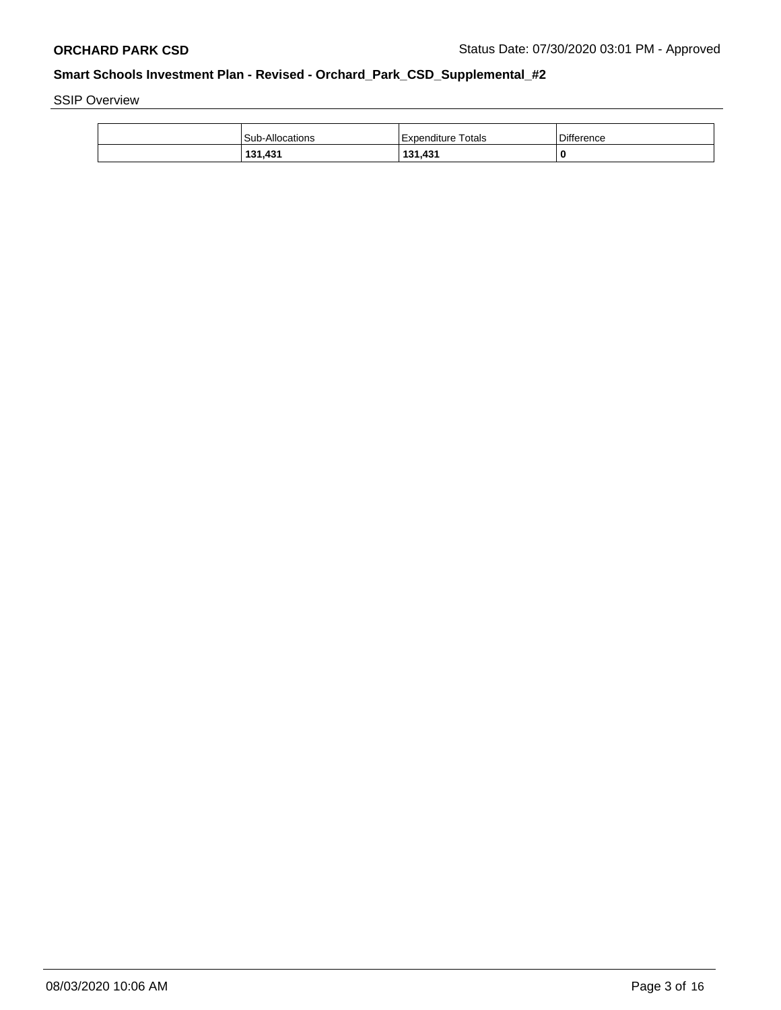SSIP Overview

| <b>Sub-Allocations</b> | <b>Expenditure Totals</b> | Difference |
|------------------------|---------------------------|------------|
| 131,431                | 131,431                   |            |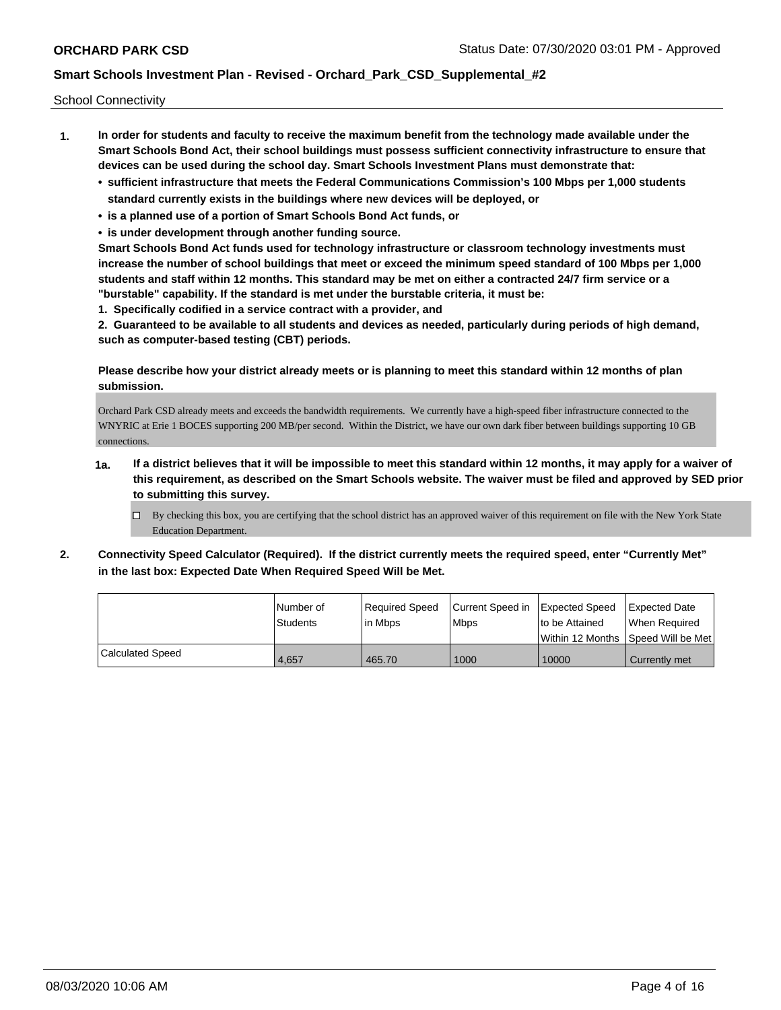School Connectivity

- **1. In order for students and faculty to receive the maximum benefit from the technology made available under the Smart Schools Bond Act, their school buildings must possess sufficient connectivity infrastructure to ensure that devices can be used during the school day. Smart Schools Investment Plans must demonstrate that:**
	- **• sufficient infrastructure that meets the Federal Communications Commission's 100 Mbps per 1,000 students standard currently exists in the buildings where new devices will be deployed, or**
	- **• is a planned use of a portion of Smart Schools Bond Act funds, or**
	- **• is under development through another funding source.**

**Smart Schools Bond Act funds used for technology infrastructure or classroom technology investments must increase the number of school buildings that meet or exceed the minimum speed standard of 100 Mbps per 1,000 students and staff within 12 months. This standard may be met on either a contracted 24/7 firm service or a "burstable" capability. If the standard is met under the burstable criteria, it must be:**

**1. Specifically codified in a service contract with a provider, and**

**2. Guaranteed to be available to all students and devices as needed, particularly during periods of high demand, such as computer-based testing (CBT) periods.**

**Please describe how your district already meets or is planning to meet this standard within 12 months of plan submission.**

Orchard Park CSD already meets and exceeds the bandwidth requirements. We currently have a high-speed fiber infrastructure connected to the WNYRIC at Erie 1 BOCES supporting 200 MB/per second. Within the District, we have our own dark fiber between buildings supporting 10 GB connections.

- **1a. If a district believes that it will be impossible to meet this standard within 12 months, it may apply for a waiver of this requirement, as described on the Smart Schools website. The waiver must be filed and approved by SED prior to submitting this survey.**
	- $\Box$  By checking this box, you are certifying that the school district has an approved waiver of this requirement on file with the New York State Education Department.
- **2. Connectivity Speed Calculator (Required). If the district currently meets the required speed, enter "Currently Met" in the last box: Expected Date When Required Speed Will be Met.**

|                  | Number of<br><b>Students</b> | Required Speed<br>lin Mbps | Current Speed in<br><b>Mbps</b> | Expected Speed<br>Ito be Attained   | Expected Date<br>When Reauired |
|------------------|------------------------------|----------------------------|---------------------------------|-------------------------------------|--------------------------------|
|                  |                              |                            |                                 | Within 12 Months 1Speed Will be Met |                                |
| Calculated Speed | 4,657                        | 465.70                     | 1000                            | 10000                               | Currently met                  |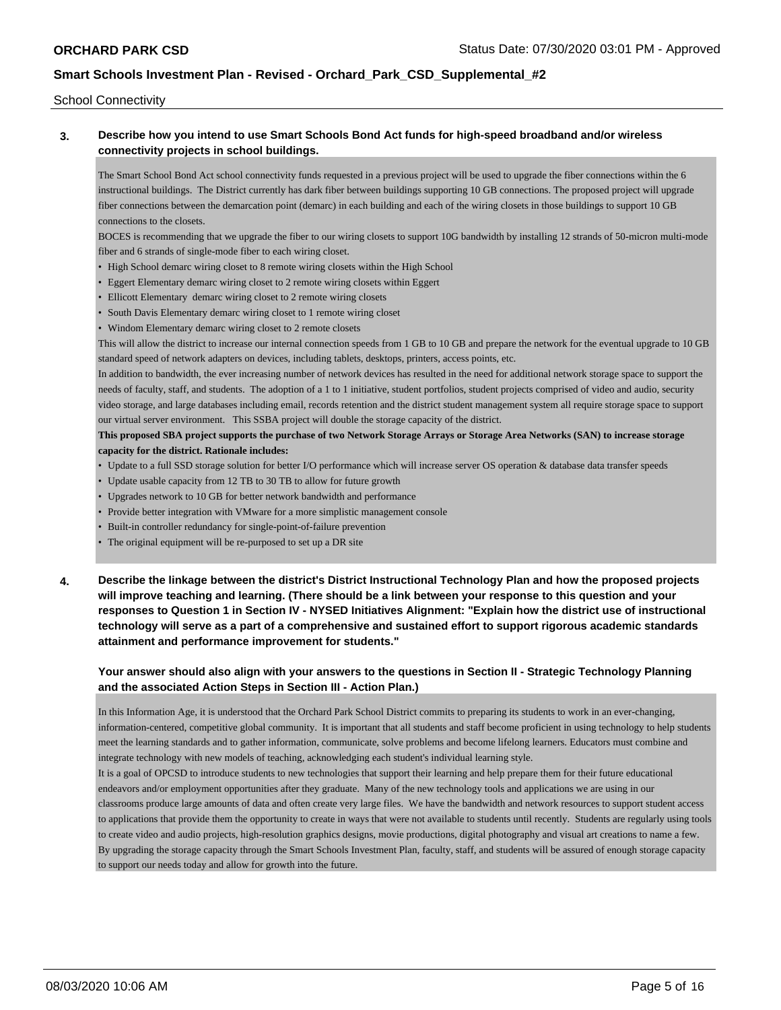School Connectivity

### **3. Describe how you intend to use Smart Schools Bond Act funds for high-speed broadband and/or wireless connectivity projects in school buildings.**

The Smart School Bond Act school connectivity funds requested in a previous project will be used to upgrade the fiber connections within the 6 instructional buildings. The District currently has dark fiber between buildings supporting 10 GB connections. The proposed project will upgrade fiber connections between the demarcation point (demarc) in each building and each of the wiring closets in those buildings to support 10 GB connections to the closets.

BOCES is recommending that we upgrade the fiber to our wiring closets to support 10G bandwidth by installing 12 strands of 50-micron multi-mode fiber and 6 strands of single-mode fiber to each wiring closet.

- High School demarc wiring closet to 8 remote wiring closets within the High School
- Eggert Elementary demarc wiring closet to 2 remote wiring closets within Eggert
- Ellicott Elementary demarc wiring closet to 2 remote wiring closets
- South Davis Elementary demarc wiring closet to 1 remote wiring closet
- Windom Elementary demarc wiring closet to 2 remote closets

This will allow the district to increase our internal connection speeds from 1 GB to 10 GB and prepare the network for the eventual upgrade to 10 GB standard speed of network adapters on devices, including tablets, desktops, printers, access points, etc.

In addition to bandwidth, the ever increasing number of network devices has resulted in the need for additional network storage space to support the needs of faculty, staff, and students. The adoption of a 1 to 1 initiative, student portfolios, student projects comprised of video and audio, security video storage, and large databases including email, records retention and the district student management system all require storage space to support our virtual server environment. This SSBA project will double the storage capacity of the district.

### **This proposed SBA project supports the purchase of two Network Storage Arrays or Storage Area Networks (SAN) to increase storage capacity for the district. Rationale includes:**

- Update to a full SSD storage solution for better I/O performance which will increase server OS operation & database data transfer speeds
- Update usable capacity from 12 TB to 30 TB to allow for future growth
- Upgrades network to 10 GB for better network bandwidth and performance
- Provide better integration with VMware for a more simplistic management console
- Built-in controller redundancy for single-point-of-failure prevention
- The original equipment will be re-purposed to set up a DR site
- **4. Describe the linkage between the district's District Instructional Technology Plan and how the proposed projects will improve teaching and learning. (There should be a link between your response to this question and your responses to Question 1 in Section IV - NYSED Initiatives Alignment: "Explain how the district use of instructional technology will serve as a part of a comprehensive and sustained effort to support rigorous academic standards attainment and performance improvement for students."**

### **Your answer should also align with your answers to the questions in Section II - Strategic Technology Planning and the associated Action Steps in Section III - Action Plan.)**

In this Information Age, it is understood that the Orchard Park School District commits to preparing its students to work in an ever-changing, information-centered, competitive global community. It is important that all students and staff become proficient in using technology to help students meet the learning standards and to gather information, communicate, solve problems and become lifelong learners. Educators must combine and integrate technology with new models of teaching, acknowledging each student's individual learning style.

It is a goal of OPCSD to introduce students to new technologies that support their learning and help prepare them for their future educational endeavors and/or employment opportunities after they graduate. Many of the new technology tools and applications we are using in our classrooms produce large amounts of data and often create very large files. We have the bandwidth and network resources to support student access to applications that provide them the opportunity to create in ways that were not available to students until recently. Students are regularly using tools to create video and audio projects, high-resolution graphics designs, movie productions, digital photography and visual art creations to name a few. By upgrading the storage capacity through the Smart Schools Investment Plan, faculty, staff, and students will be assured of enough storage capacity to support our needs today and allow for growth into the future.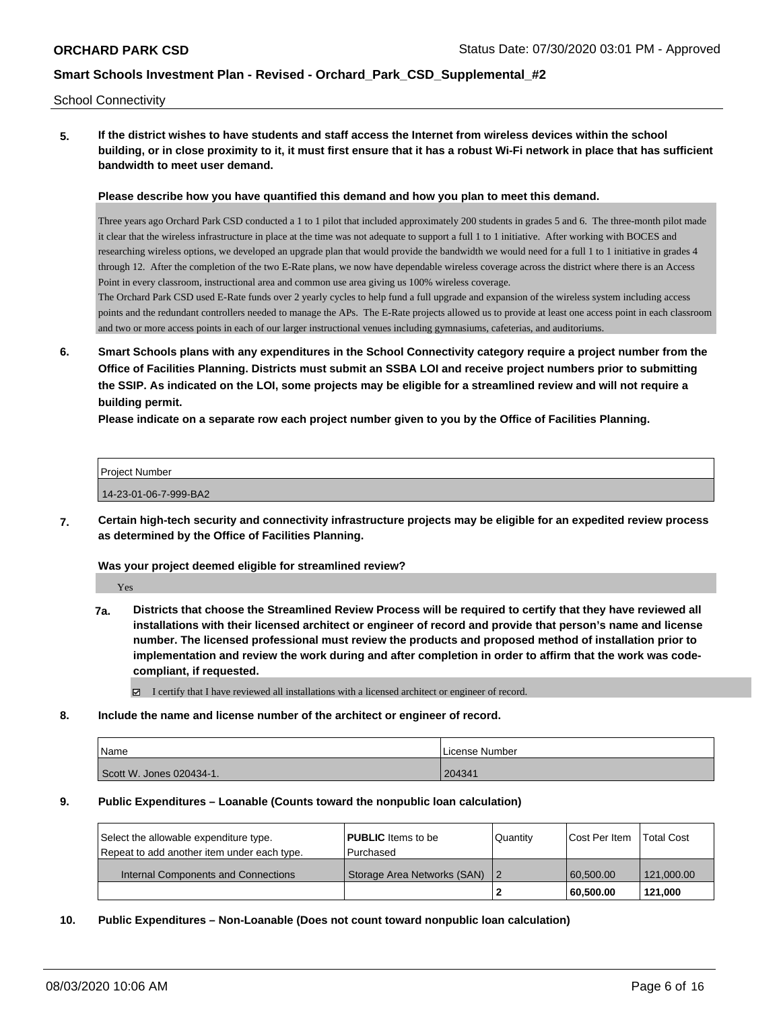#### School Connectivity

**5. If the district wishes to have students and staff access the Internet from wireless devices within the school building, or in close proximity to it, it must first ensure that it has a robust Wi-Fi network in place that has sufficient bandwidth to meet user demand.**

#### **Please describe how you have quantified this demand and how you plan to meet this demand.**

Three years ago Orchard Park CSD conducted a 1 to 1 pilot that included approximately 200 students in grades 5 and 6. The three-month pilot made it clear that the wireless infrastructure in place at the time was not adequate to support a full 1 to 1 initiative. After working with BOCES and researching wireless options, we developed an upgrade plan that would provide the bandwidth we would need for a full 1 to 1 initiative in grades 4 through 12. After the completion of the two E-Rate plans, we now have dependable wireless coverage across the district where there is an Access Point in every classroom, instructional area and common use area giving us 100% wireless coverage.

The Orchard Park CSD used E-Rate funds over 2 yearly cycles to help fund a full upgrade and expansion of the wireless system including access points and the redundant controllers needed to manage the APs. The E-Rate projects allowed us to provide at least one access point in each classroom and two or more access points in each of our larger instructional venues including gymnasiums, cafeterias, and auditoriums.

**6. Smart Schools plans with any expenditures in the School Connectivity category require a project number from the Office of Facilities Planning. Districts must submit an SSBA LOI and receive project numbers prior to submitting the SSIP. As indicated on the LOI, some projects may be eligible for a streamlined review and will not require a building permit.**

**Please indicate on a separate row each project number given to you by the Office of Facilities Planning.**

| Project Number        |  |  |
|-----------------------|--|--|
|                       |  |  |
| 14-23-01-06-7-999-BA2 |  |  |

**7. Certain high-tech security and connectivity infrastructure projects may be eligible for an expedited review process as determined by the Office of Facilities Planning.**

#### **Was your project deemed eligible for streamlined review?**

Yes

**7a. Districts that choose the Streamlined Review Process will be required to certify that they have reviewed all installations with their licensed architect or engineer of record and provide that person's name and license number. The licensed professional must review the products and proposed method of installation prior to implementation and review the work during and after completion in order to affirm that the work was codecompliant, if requested.**

I certify that I have reviewed all installations with a licensed architect or engineer of record.

#### **8. Include the name and license number of the architect or engineer of record.**

| <b>Name</b>              | License Number |
|--------------------------|----------------|
| Scott W. Jones 020434-1. | 204341         |

#### **9. Public Expenditures – Loanable (Counts toward the nonpublic loan calculation)**

| Select the allowable expenditure type.      | <b>PUBLIC</b> Items to be     | Quantity | <b>Cost Per Item</b> | Total Cost |
|---------------------------------------------|-------------------------------|----------|----------------------|------------|
| Repeat to add another item under each type. | l Purchased                   |          |                      |            |
| Internal Components and Connections         | Storage Area Networks (SAN) 2 |          | 60.500.00            | 121.000.00 |
|                                             |                               |          | 60.500.00            | 121.000    |

### **10. Public Expenditures – Non-Loanable (Does not count toward nonpublic loan calculation)**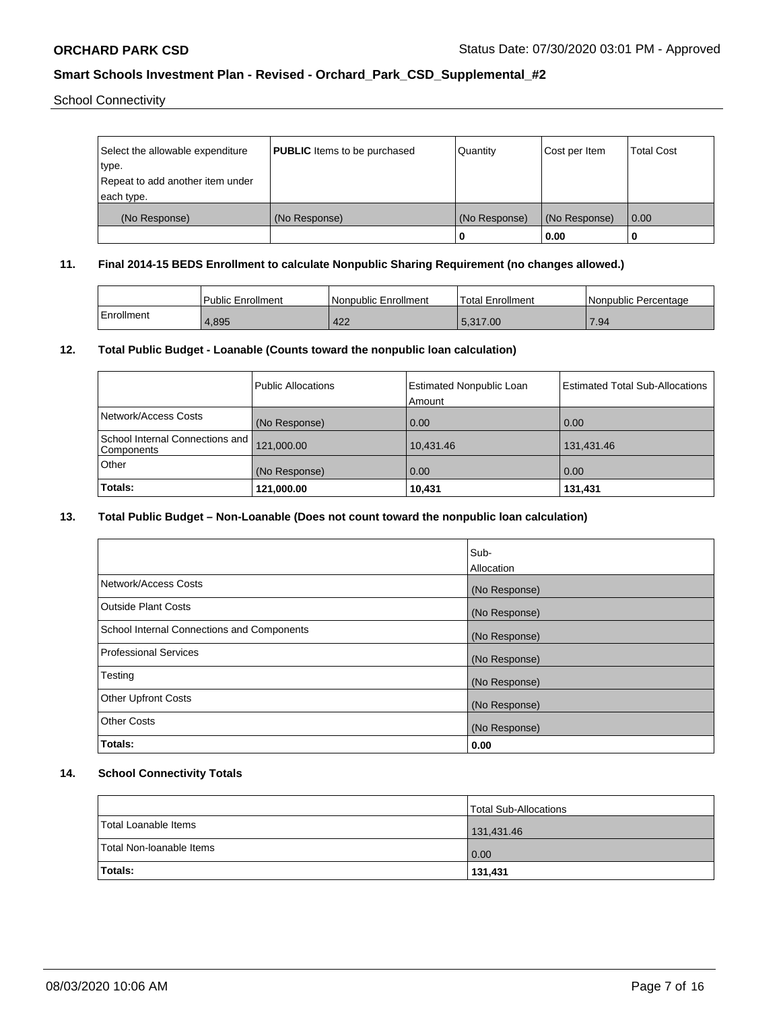School Connectivity

| Select the allowable expenditure | <b>PUBLIC</b> Items to be purchased | Quantity      | Cost per Item | <b>Total Cost</b> |
|----------------------------------|-------------------------------------|---------------|---------------|-------------------|
| type.                            |                                     |               |               |                   |
| Repeat to add another item under |                                     |               |               |                   |
| each type.                       |                                     |               |               |                   |
| (No Response)                    | (No Response)                       | (No Response) | (No Response) | 0.00              |
|                                  |                                     | 0             | 0.00          |                   |

### **11. Final 2014-15 BEDS Enrollment to calculate Nonpublic Sharing Requirement (no changes allowed.)**

|            | Public Enrollment | Nonpublic Enrollment | Total Enrollment | <b>INonpublic Percentage</b> |
|------------|-------------------|----------------------|------------------|------------------------------|
| Enrollment | 4,895             | 422                  | 5.317.00         | 7.94                         |

# **12. Total Public Budget - Loanable (Counts toward the nonpublic loan calculation)**

|                                                  | Public Allocations | <b>Estimated Nonpublic Loan</b><br>Amount | <b>Estimated Total Sub-Allocations</b> |
|--------------------------------------------------|--------------------|-------------------------------------------|----------------------------------------|
| Network/Access Costs                             | (No Response)      | 0.00                                      | 0.00                                   |
| School Internal Connections and   <br>Components | 121,000.00         | 10.431.46                                 | 131,431.46                             |
| Other                                            | (No Response)      | 0.00                                      | 0.00                                   |
| Totals:                                          | 121,000.00         | 10,431                                    | 131,431                                |

# **13. Total Public Budget – Non-Loanable (Does not count toward the nonpublic loan calculation)**

|                                            | Sub-          |
|--------------------------------------------|---------------|
|                                            | Allocation    |
| Network/Access Costs                       | (No Response) |
| Outside Plant Costs                        | (No Response) |
| School Internal Connections and Components | (No Response) |
| Professional Services                      | (No Response) |
| Testing                                    | (No Response) |
| <b>Other Upfront Costs</b>                 | (No Response) |
| <b>Other Costs</b>                         | (No Response) |
| Totals:                                    | 0.00          |

# **14. School Connectivity Totals**

|                          | Total Sub-Allocations |
|--------------------------|-----------------------|
| Total Loanable Items     | 131,431.46            |
| Total Non-Ioanable Items | 0.00                  |
| <b>Totals:</b>           | 131,431               |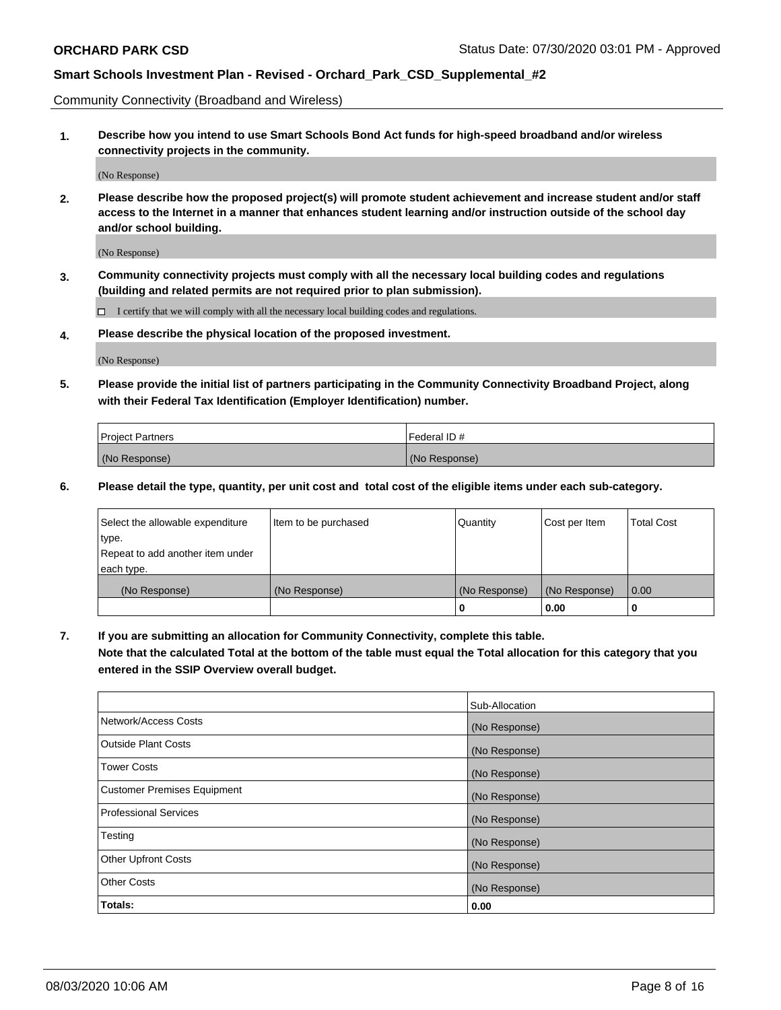Community Connectivity (Broadband and Wireless)

**1. Describe how you intend to use Smart Schools Bond Act funds for high-speed broadband and/or wireless connectivity projects in the community.**

(No Response)

**2. Please describe how the proposed project(s) will promote student achievement and increase student and/or staff access to the Internet in a manner that enhances student learning and/or instruction outside of the school day and/or school building.**

(No Response)

**3. Community connectivity projects must comply with all the necessary local building codes and regulations (building and related permits are not required prior to plan submission).**

 $\Box$  I certify that we will comply with all the necessary local building codes and regulations.

**4. Please describe the physical location of the proposed investment.**

(No Response)

**5. Please provide the initial list of partners participating in the Community Connectivity Broadband Project, along with their Federal Tax Identification (Employer Identification) number.**

| <b>Project Partners</b> | l Federal ID # |
|-------------------------|----------------|
| (No Response)           | (No Response)  |

**6. Please detail the type, quantity, per unit cost and total cost of the eligible items under each sub-category.**

| Select the allowable expenditure | Item to be purchased | Quantity      | Cost per Item | <b>Total Cost</b> |
|----------------------------------|----------------------|---------------|---------------|-------------------|
| type.                            |                      |               |               |                   |
| Repeat to add another item under |                      |               |               |                   |
| each type.                       |                      |               |               |                   |
| (No Response)                    | (No Response)        | (No Response) | (No Response) | 0.00              |
|                                  |                      | o             | 0.00          |                   |

**7. If you are submitting an allocation for Community Connectivity, complete this table.**

**Note that the calculated Total at the bottom of the table must equal the Total allocation for this category that you entered in the SSIP Overview overall budget.**

|                                    | Sub-Allocation |
|------------------------------------|----------------|
| Network/Access Costs               | (No Response)  |
| Outside Plant Costs                | (No Response)  |
| <b>Tower Costs</b>                 | (No Response)  |
| <b>Customer Premises Equipment</b> | (No Response)  |
| <b>Professional Services</b>       | (No Response)  |
| Testing                            | (No Response)  |
| <b>Other Upfront Costs</b>         | (No Response)  |
| <b>Other Costs</b>                 | (No Response)  |
| Totals:                            | 0.00           |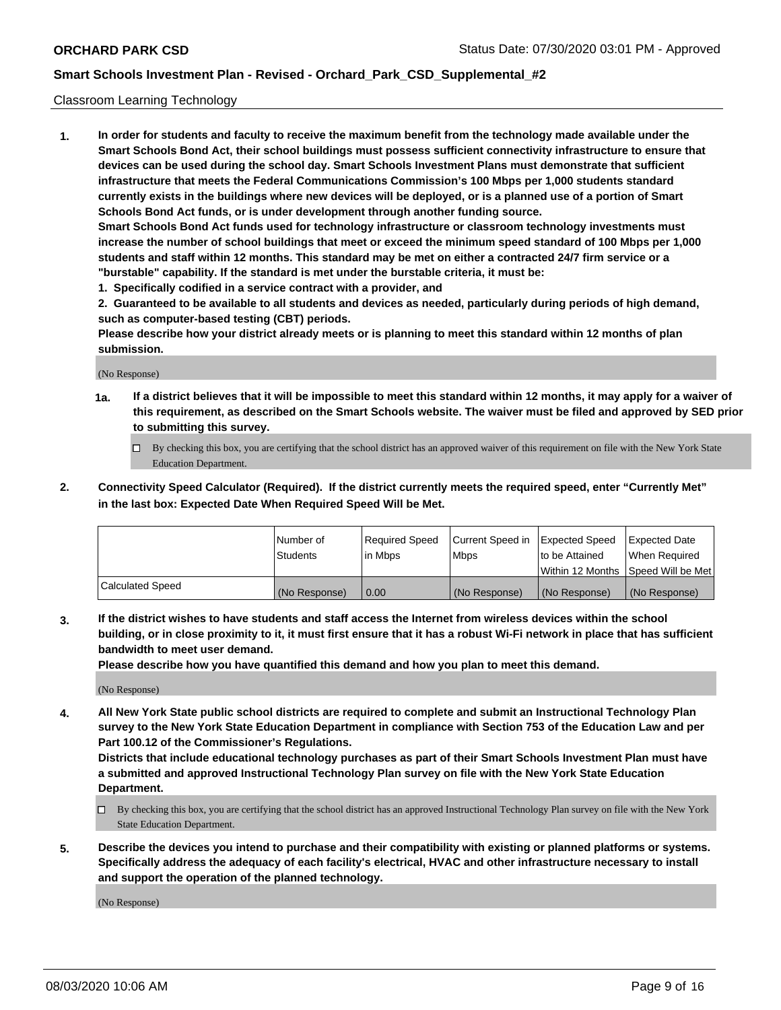#### Classroom Learning Technology

**1. In order for students and faculty to receive the maximum benefit from the technology made available under the Smart Schools Bond Act, their school buildings must possess sufficient connectivity infrastructure to ensure that devices can be used during the school day. Smart Schools Investment Plans must demonstrate that sufficient infrastructure that meets the Federal Communications Commission's 100 Mbps per 1,000 students standard currently exists in the buildings where new devices will be deployed, or is a planned use of a portion of Smart Schools Bond Act funds, or is under development through another funding source. Smart Schools Bond Act funds used for technology infrastructure or classroom technology investments must increase the number of school buildings that meet or exceed the minimum speed standard of 100 Mbps per 1,000 students and staff within 12 months. This standard may be met on either a contracted 24/7 firm service or a**

- **"burstable" capability. If the standard is met under the burstable criteria, it must be:**
- **1. Specifically codified in a service contract with a provider, and**

**2. Guaranteed to be available to all students and devices as needed, particularly during periods of high demand, such as computer-based testing (CBT) periods.**

**Please describe how your district already meets or is planning to meet this standard within 12 months of plan submission.**

(No Response)

- **1a. If a district believes that it will be impossible to meet this standard within 12 months, it may apply for a waiver of this requirement, as described on the Smart Schools website. The waiver must be filed and approved by SED prior to submitting this survey.**
	- By checking this box, you are certifying that the school district has an approved waiver of this requirement on file with the New York State Education Department.
- **2. Connectivity Speed Calculator (Required). If the district currently meets the required speed, enter "Currently Met" in the last box: Expected Date When Required Speed Will be Met.**

|                  | l Number of     | Required Speed | Current Speed in | <b>Expected Speed</b> | <b>Expected Date</b>                |
|------------------|-----------------|----------------|------------------|-----------------------|-------------------------------------|
|                  | <b>Students</b> | l in Mbps      | l Mbps           | to be Attained        | When Required                       |
|                  |                 |                |                  |                       | Within 12 Months  Speed Will be Met |
| Calculated Speed | (No Response)   | 0.00           | (No Response)    | l (No Response)       | (No Response)                       |

**3. If the district wishes to have students and staff access the Internet from wireless devices within the school building, or in close proximity to it, it must first ensure that it has a robust Wi-Fi network in place that has sufficient bandwidth to meet user demand.**

**Please describe how you have quantified this demand and how you plan to meet this demand.**

(No Response)

**4. All New York State public school districts are required to complete and submit an Instructional Technology Plan survey to the New York State Education Department in compliance with Section 753 of the Education Law and per Part 100.12 of the Commissioner's Regulations.**

**Districts that include educational technology purchases as part of their Smart Schools Investment Plan must have a submitted and approved Instructional Technology Plan survey on file with the New York State Education Department.**

- By checking this box, you are certifying that the school district has an approved Instructional Technology Plan survey on file with the New York State Education Department.
- **5. Describe the devices you intend to purchase and their compatibility with existing or planned platforms or systems. Specifically address the adequacy of each facility's electrical, HVAC and other infrastructure necessary to install and support the operation of the planned technology.**

(No Response)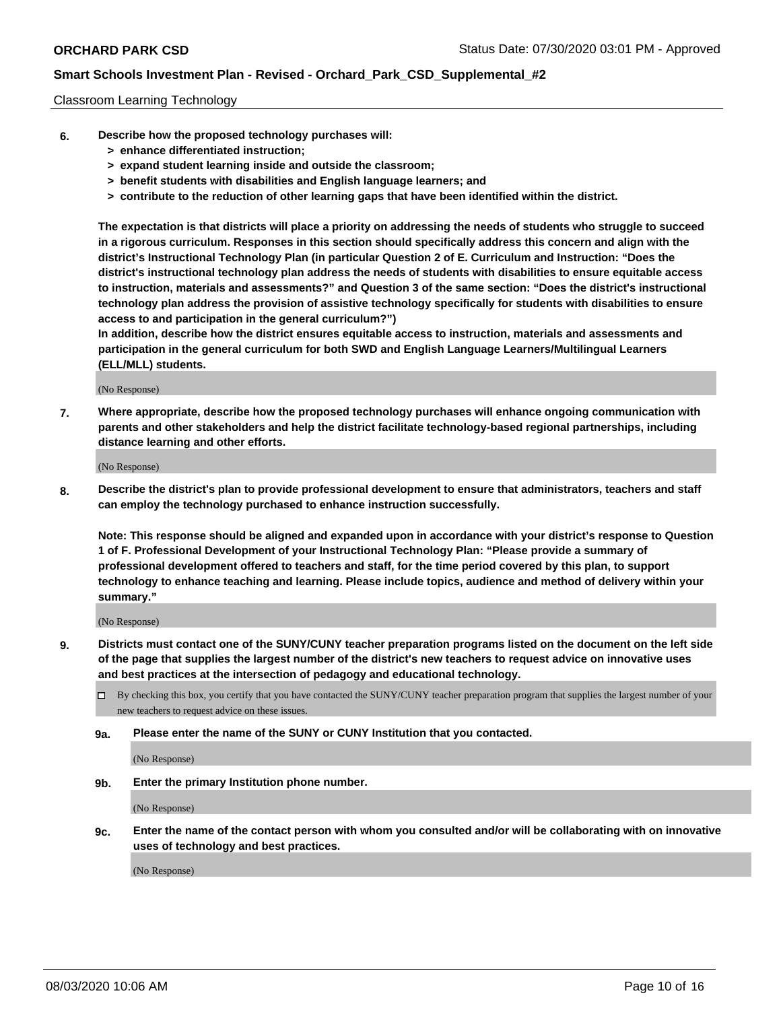#### Classroom Learning Technology

- **6. Describe how the proposed technology purchases will:**
	- **> enhance differentiated instruction;**
	- **> expand student learning inside and outside the classroom;**
	- **> benefit students with disabilities and English language learners; and**
	- **> contribute to the reduction of other learning gaps that have been identified within the district.**

**The expectation is that districts will place a priority on addressing the needs of students who struggle to succeed in a rigorous curriculum. Responses in this section should specifically address this concern and align with the district's Instructional Technology Plan (in particular Question 2 of E. Curriculum and Instruction: "Does the district's instructional technology plan address the needs of students with disabilities to ensure equitable access to instruction, materials and assessments?" and Question 3 of the same section: "Does the district's instructional technology plan address the provision of assistive technology specifically for students with disabilities to ensure access to and participation in the general curriculum?")**

**In addition, describe how the district ensures equitable access to instruction, materials and assessments and participation in the general curriculum for both SWD and English Language Learners/Multilingual Learners (ELL/MLL) students.**

(No Response)

**7. Where appropriate, describe how the proposed technology purchases will enhance ongoing communication with parents and other stakeholders and help the district facilitate technology-based regional partnerships, including distance learning and other efforts.**

(No Response)

**8. Describe the district's plan to provide professional development to ensure that administrators, teachers and staff can employ the technology purchased to enhance instruction successfully.**

**Note: This response should be aligned and expanded upon in accordance with your district's response to Question 1 of F. Professional Development of your Instructional Technology Plan: "Please provide a summary of professional development offered to teachers and staff, for the time period covered by this plan, to support technology to enhance teaching and learning. Please include topics, audience and method of delivery within your summary."**

(No Response)

- **9. Districts must contact one of the SUNY/CUNY teacher preparation programs listed on the document on the left side of the page that supplies the largest number of the district's new teachers to request advice on innovative uses and best practices at the intersection of pedagogy and educational technology.**
	- By checking this box, you certify that you have contacted the SUNY/CUNY teacher preparation program that supplies the largest number of your new teachers to request advice on these issues.
	- **9a. Please enter the name of the SUNY or CUNY Institution that you contacted.**

(No Response)

**9b. Enter the primary Institution phone number.**

(No Response)

**9c. Enter the name of the contact person with whom you consulted and/or will be collaborating with on innovative uses of technology and best practices.**

(No Response)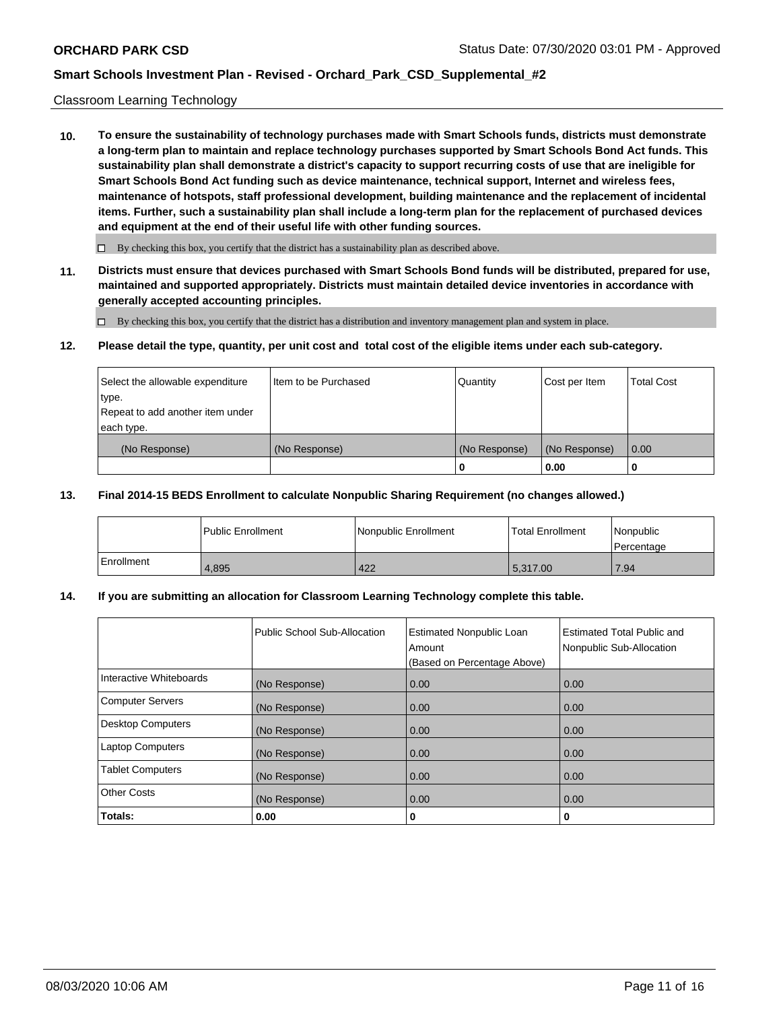### Classroom Learning Technology

**10. To ensure the sustainability of technology purchases made with Smart Schools funds, districts must demonstrate a long-term plan to maintain and replace technology purchases supported by Smart Schools Bond Act funds. This sustainability plan shall demonstrate a district's capacity to support recurring costs of use that are ineligible for Smart Schools Bond Act funding such as device maintenance, technical support, Internet and wireless fees, maintenance of hotspots, staff professional development, building maintenance and the replacement of incidental items. Further, such a sustainability plan shall include a long-term plan for the replacement of purchased devices and equipment at the end of their useful life with other funding sources.**

 $\Box$  By checking this box, you certify that the district has a sustainability plan as described above.

**11. Districts must ensure that devices purchased with Smart Schools Bond funds will be distributed, prepared for use, maintained and supported appropriately. Districts must maintain detailed device inventories in accordance with generally accepted accounting principles.**

By checking this box, you certify that the district has a distribution and inventory management plan and system in place.

#### **12. Please detail the type, quantity, per unit cost and total cost of the eligible items under each sub-category.**

| Select the allowable expenditure<br>type.<br>Repeat to add another item under | Item to be Purchased | Quantity      | Cost per Item | <b>Total Cost</b> |
|-------------------------------------------------------------------------------|----------------------|---------------|---------------|-------------------|
| each type.<br>(No Response)                                                   | (No Response)        | (No Response) | (No Response) | 0.00              |
|                                                                               |                      | 0             | 0.00          |                   |

### **13. Final 2014-15 BEDS Enrollment to calculate Nonpublic Sharing Requirement (no changes allowed.)**

|            | l Public Enrollment | <b>INonpublic Enrollment</b> | <b>Total Enrollment</b> | Nonpublic<br>l Percentage |
|------------|---------------------|------------------------------|-------------------------|---------------------------|
| Enrollment | 4.895               | 422                          | 5.317.00                | 17.94                     |

### **14. If you are submitting an allocation for Classroom Learning Technology complete this table.**

|                         | Public School Sub-Allocation | <b>Estimated Nonpublic Loan</b><br>Amount<br>(Based on Percentage Above) | Estimated Total Public and<br>Nonpublic Sub-Allocation |
|-------------------------|------------------------------|--------------------------------------------------------------------------|--------------------------------------------------------|
| Interactive Whiteboards | (No Response)                | 0.00                                                                     | 0.00                                                   |
| Computer Servers        | (No Response)                | 0.00                                                                     | 0.00                                                   |
| Desktop Computers       | (No Response)                | 0.00                                                                     | 0.00                                                   |
| <b>Laptop Computers</b> | (No Response)                | 0.00                                                                     | 0.00                                                   |
| <b>Tablet Computers</b> | (No Response)                | 0.00                                                                     | 0.00                                                   |
| Other Costs             | (No Response)                | 0.00                                                                     | 0.00                                                   |
| Totals:                 | 0.00                         | 0                                                                        | 0                                                      |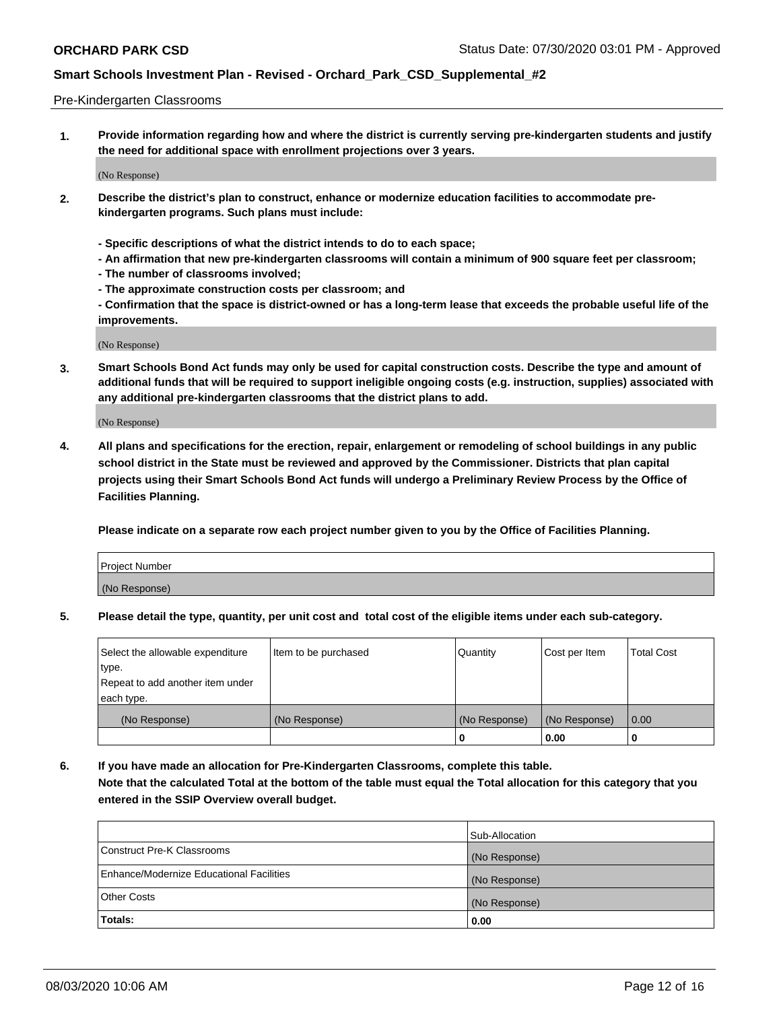#### Pre-Kindergarten Classrooms

**1. Provide information regarding how and where the district is currently serving pre-kindergarten students and justify the need for additional space with enrollment projections over 3 years.**

(No Response)

- **2. Describe the district's plan to construct, enhance or modernize education facilities to accommodate prekindergarten programs. Such plans must include:**
	- **Specific descriptions of what the district intends to do to each space;**
	- **An affirmation that new pre-kindergarten classrooms will contain a minimum of 900 square feet per classroom;**
	- **The number of classrooms involved;**
	- **The approximate construction costs per classroom; and**
	- **Confirmation that the space is district-owned or has a long-term lease that exceeds the probable useful life of the improvements.**

(No Response)

**3. Smart Schools Bond Act funds may only be used for capital construction costs. Describe the type and amount of additional funds that will be required to support ineligible ongoing costs (e.g. instruction, supplies) associated with any additional pre-kindergarten classrooms that the district plans to add.**

(No Response)

**4. All plans and specifications for the erection, repair, enlargement or remodeling of school buildings in any public school district in the State must be reviewed and approved by the Commissioner. Districts that plan capital projects using their Smart Schools Bond Act funds will undergo a Preliminary Review Process by the Office of Facilities Planning.**

**Please indicate on a separate row each project number given to you by the Office of Facilities Planning.**

| Project Number |  |
|----------------|--|
| (No Response)  |  |
|                |  |

**5. Please detail the type, quantity, per unit cost and total cost of the eligible items under each sub-category.**

| Select the allowable expenditure | Item to be purchased | Quantity      | Cost per Item | <b>Total Cost</b> |
|----------------------------------|----------------------|---------------|---------------|-------------------|
| type.                            |                      |               |               |                   |
| Repeat to add another item under |                      |               |               |                   |
| each type.                       |                      |               |               |                   |
| (No Response)                    | (No Response)        | (No Response) | (No Response) | 0.00              |
|                                  |                      | U             | 0.00          |                   |

**6. If you have made an allocation for Pre-Kindergarten Classrooms, complete this table. Note that the calculated Total at the bottom of the table must equal the Total allocation for this category that you entered in the SSIP Overview overall budget.**

|                                          | Sub-Allocation |
|------------------------------------------|----------------|
| Construct Pre-K Classrooms               | (No Response)  |
| Enhance/Modernize Educational Facilities | (No Response)  |
| <b>Other Costs</b>                       | (No Response)  |
| Totals:                                  | 0.00           |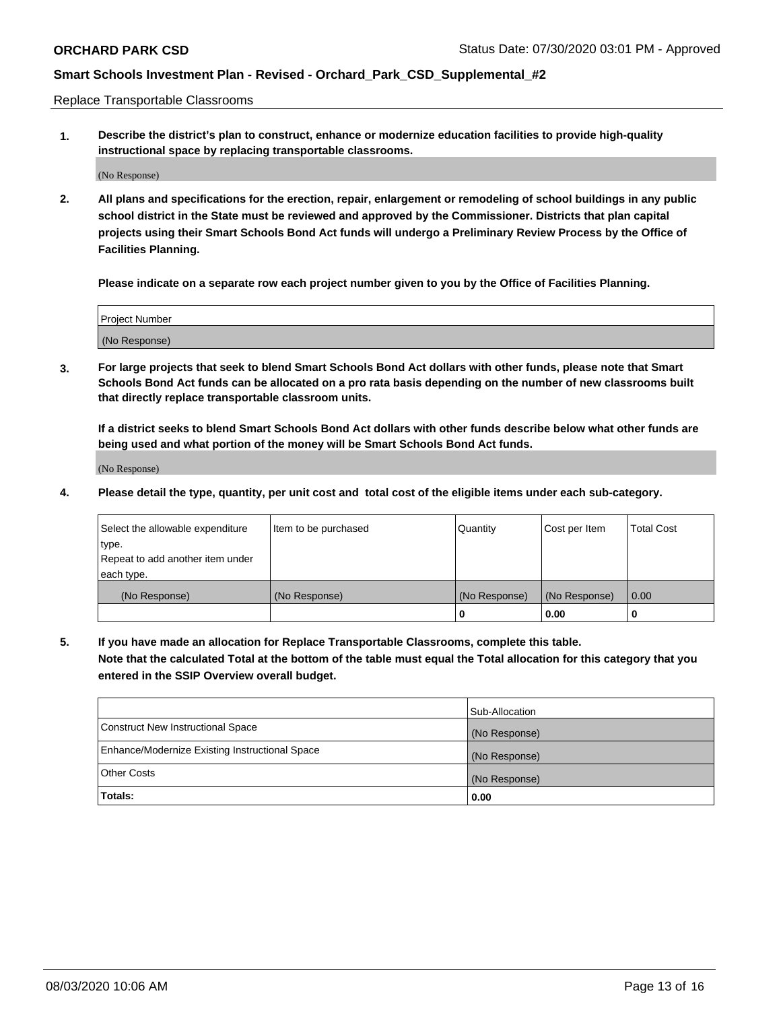Replace Transportable Classrooms

**1. Describe the district's plan to construct, enhance or modernize education facilities to provide high-quality instructional space by replacing transportable classrooms.**

(No Response)

**2. All plans and specifications for the erection, repair, enlargement or remodeling of school buildings in any public school district in the State must be reviewed and approved by the Commissioner. Districts that plan capital projects using their Smart Schools Bond Act funds will undergo a Preliminary Review Process by the Office of Facilities Planning.**

**Please indicate on a separate row each project number given to you by the Office of Facilities Planning.**

| Project Number |  |
|----------------|--|
|                |  |
| (No Response)  |  |

**3. For large projects that seek to blend Smart Schools Bond Act dollars with other funds, please note that Smart Schools Bond Act funds can be allocated on a pro rata basis depending on the number of new classrooms built that directly replace transportable classroom units.**

**If a district seeks to blend Smart Schools Bond Act dollars with other funds describe below what other funds are being used and what portion of the money will be Smart Schools Bond Act funds.**

(No Response)

**4. Please detail the type, quantity, per unit cost and total cost of the eligible items under each sub-category.**

| Select the allowable expenditure | Item to be purchased | Quantity      | Cost per Item | Total Cost |
|----------------------------------|----------------------|---------------|---------------|------------|
| ∣type.                           |                      |               |               |            |
| Repeat to add another item under |                      |               |               |            |
| each type.                       |                      |               |               |            |
| (No Response)                    | (No Response)        | (No Response) | (No Response) | 0.00       |
|                                  |                      | u             | 0.00          |            |

**5. If you have made an allocation for Replace Transportable Classrooms, complete this table. Note that the calculated Total at the bottom of the table must equal the Total allocation for this category that you entered in the SSIP Overview overall budget.**

|                                                | Sub-Allocation |
|------------------------------------------------|----------------|
| Construct New Instructional Space              | (No Response)  |
| Enhance/Modernize Existing Instructional Space | (No Response)  |
| Other Costs                                    | (No Response)  |
| Totals:                                        | 0.00           |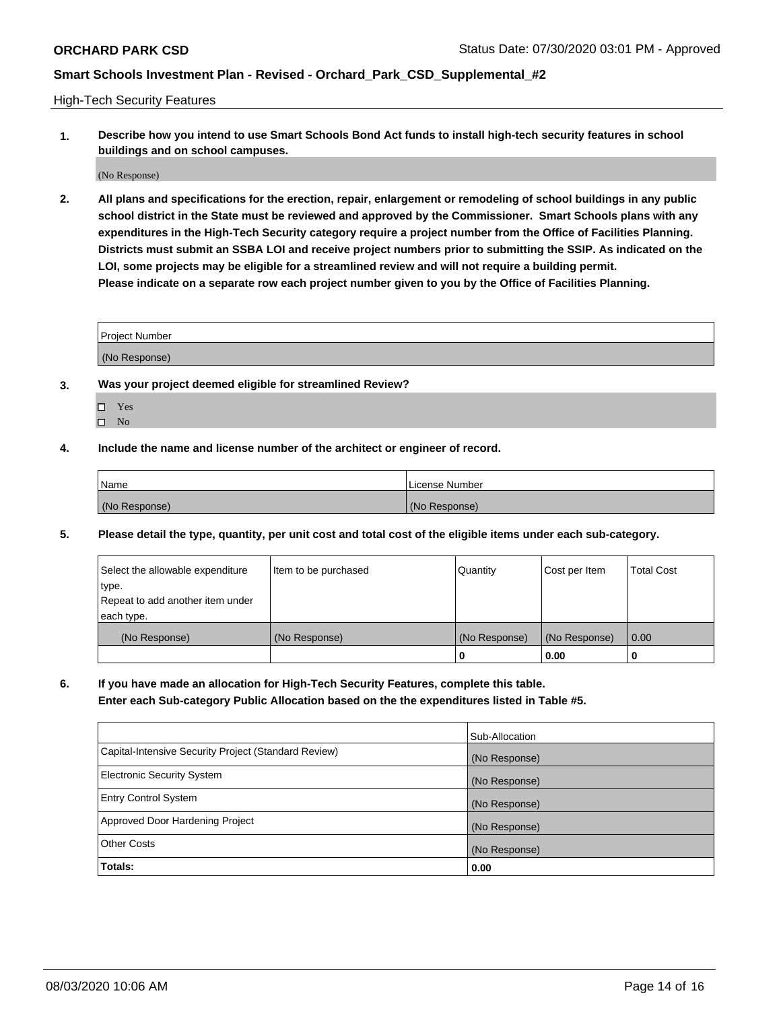High-Tech Security Features

**1. Describe how you intend to use Smart Schools Bond Act funds to install high-tech security features in school buildings and on school campuses.**

(No Response)

**2. All plans and specifications for the erection, repair, enlargement or remodeling of school buildings in any public school district in the State must be reviewed and approved by the Commissioner. Smart Schools plans with any expenditures in the High-Tech Security category require a project number from the Office of Facilities Planning. Districts must submit an SSBA LOI and receive project numbers prior to submitting the SSIP. As indicated on the LOI, some projects may be eligible for a streamlined review and will not require a building permit. Please indicate on a separate row each project number given to you by the Office of Facilities Planning.**

| <b>Project Number</b> |  |
|-----------------------|--|
| (No Response)         |  |

- **3. Was your project deemed eligible for streamlined Review?**
	- Yes
	- $\hfill \square$  No
- **4. Include the name and license number of the architect or engineer of record.**

| Name          | License Number |
|---------------|----------------|
| (No Response) | (No Response)  |

**5. Please detail the type, quantity, per unit cost and total cost of the eligible items under each sub-category.**

| Select the allowable expenditure | Item to be purchased | Quantity      | Cost per Item | <b>Total Cost</b> |
|----------------------------------|----------------------|---------------|---------------|-------------------|
| 'type.                           |                      |               |               |                   |
| Repeat to add another item under |                      |               |               |                   |
| each type.                       |                      |               |               |                   |
| (No Response)                    | (No Response)        | (No Response) | (No Response) | 0.00              |
|                                  |                      | U             | 0.00          |                   |

**6. If you have made an allocation for High-Tech Security Features, complete this table.**

**Enter each Sub-category Public Allocation based on the the expenditures listed in Table #5.**

|                                                      | Sub-Allocation |
|------------------------------------------------------|----------------|
| Capital-Intensive Security Project (Standard Review) | (No Response)  |
| <b>Electronic Security System</b>                    | (No Response)  |
| <b>Entry Control System</b>                          | (No Response)  |
| Approved Door Hardening Project                      | (No Response)  |
| <b>Other Costs</b>                                   | (No Response)  |
| Totals:                                              | 0.00           |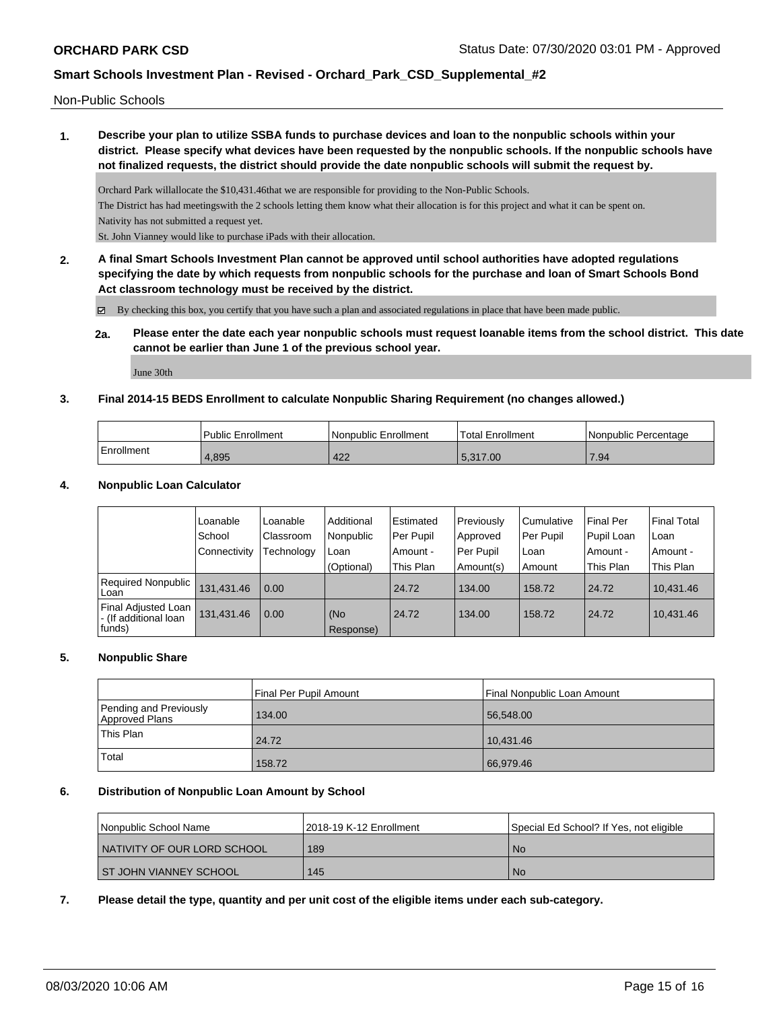Non-Public Schools

**1. Describe your plan to utilize SSBA funds to purchase devices and loan to the nonpublic schools within your district. Please specify what devices have been requested by the nonpublic schools. If the nonpublic schools have not finalized requests, the district should provide the date nonpublic schools will submit the request by.**

Orchard Park willallocate the \$10,431.46that we are responsible for providing to the Non-Public Schools. The District has had meetingswith the 2 schools letting them know what their allocation is for this project and what it can be spent on. Nativity has not submitted a request yet.

St. John Vianney would like to purchase iPads with their allocation.

**2. A final Smart Schools Investment Plan cannot be approved until school authorities have adopted regulations specifying the date by which requests from nonpublic schools for the purchase and loan of Smart Schools Bond Act classroom technology must be received by the district.**

By checking this box, you certify that you have such a plan and associated regulations in place that have been made public.

**2a. Please enter the date each year nonpublic schools must request loanable items from the school district. This date cannot be earlier than June 1 of the previous school year.**

June 30th

### **3. Final 2014-15 BEDS Enrollment to calculate Nonpublic Sharing Requirement (no changes allowed.)**

|            | <b>Public Enrollment</b> | l Nonpublic Enrollment | <b>Total Enrollment</b> | Nonpublic Percentage |
|------------|--------------------------|------------------------|-------------------------|----------------------|
| Enrollment | 1,895                    | 422                    | 5.317.00                | 7.94                 |

### **4. Nonpublic Loan Calculator**

|                                                                 | Loanable       | Loanable   | Additional       | l Estimated | Previously  | Cumulative | <b>Final Per</b> | <b>Final Total</b> |
|-----------------------------------------------------------------|----------------|------------|------------------|-------------|-------------|------------|------------------|--------------------|
|                                                                 | School         | Classroom  | Nonpublic        | l Per Pupil | Approved    | Per Pupil  | Pupil Loan       | Loan               |
|                                                                 | l Connectivitv | Technology | Loan             | Amount -    | l Per Pupil | Loan       | Amount -         | Amount -           |
|                                                                 |                |            | (Optional)       | This Plan   | Amount(s)   | Amount     | This Plan        | This Plan          |
| Required Nonpublic<br>l Loan                                    | 131.431.46     | 0.00       |                  | 24.72       | 134.00      | 158.72     | 24.72            | 10.431.46          |
| <b>Final Adjusted Loan</b><br>- (If additional loan<br>  funds) | 131,431.46     | 0.00       | (No<br>Response) | 24.72       | 134.00      | 158.72     | 24.72            | 10.431.46          |

#### **5. Nonpublic Share**

|                                          | Final Per Pupil Amount | Final Nonpublic Loan Amount |
|------------------------------------------|------------------------|-----------------------------|
| Pending and Previously<br>Approved Plans | 134.00                 | 56,548.00                   |
| This Plan                                | 24.72                  | 10.431.46                   |
| Total                                    | 158.72                 | 66,979.46                   |

#### **6. Distribution of Nonpublic Loan Amount by School**

| Nonpublic School Name         | 12018-19 K-12 Enrollment | Special Ed School? If Yes, not eligible |
|-------------------------------|--------------------------|-----------------------------------------|
| I NATIVITY OF OUR LORD SCHOOL | 189                      | -No                                     |
| <b>ST JOHN VIANNEY SCHOOL</b> | 145                      | No.                                     |

### **7. Please detail the type, quantity and per unit cost of the eligible items under each sub-category.**